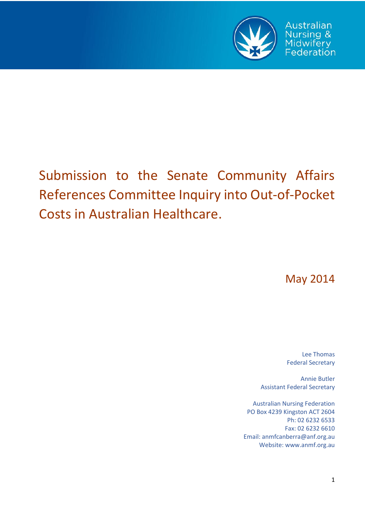

# Submission to the Senate Community Affairs References Committee Inquiry into Out-of-Pocket Costs in Australian Healthcare.

May 2014

Lee Thomas Federal Secretary

Annie Butler Assistant Federal Secretary

Australian Nursing Federation PO Box 4239 Kingston ACT 2604 Ph: 02 6232 6533 Fax: 02 6232 6610 Email: anmfcanberra@anf.org.au Website: www.anmf.org.au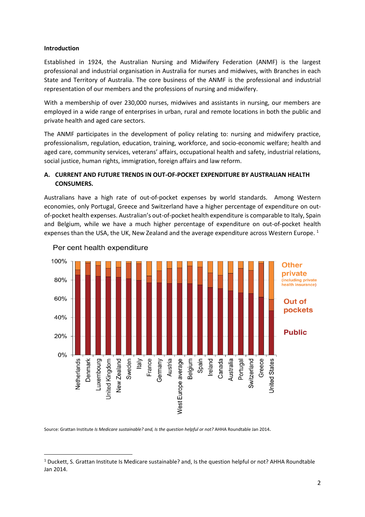#### **Introduction**

1

Established in 1924, the Australian Nursing and Midwifery Federation (ANMF) is the largest professional and industrial organisation in Australia for nurses and midwives, with Branches in each State and Territory of Australia. The core business of the ANMF is the professional and industrial representation of our members and the professions of nursing and midwifery.

With a membership of over 230,000 nurses, midwives and assistants in nursing, our members are employed in a wide range of enterprises in urban, rural and remote locations in both the public and private health and aged care sectors.

The ANMF participates in the development of policy relating to: nursing and midwifery practice, professionalism, regulation, education, training, workforce, and socio-economic welfare; health and aged care, community services, veterans' affairs, occupational health and safety, industrial relations, social justice, human rights, immigration, foreign affairs and law reform.

## **A. CURRENT AND FUTURE TRENDS IN OUT-OF-POCKET EXPENDITURE BY AUSTRALIAN HEALTH CONSUMERS.**

Australians have a high rate of out-of-pocket expenses by world standards. Among Western economies, only Portugal, Greece and Switzerland have a higher percentage of expenditure on outof-pocket health expenses. Australian's out-of-pocket health expenditure is comparable to Italy, Spain and Belgium, while we have a much higher percentage of expenditure on out-of-pocket health expenses than the USA, the UK, New Zealand and the average expenditure across Western Europe.<sup>1</sup>



## Per cent health expenditure

Source: Grattan Institute *Is Medicare sustainable? and, Is the question helpful or not?* AHHA Roundtable Jan 2014.

<sup>1</sup> Duckett, S. Grattan Institute Is Medicare sustainable? and, Is the question helpful or not? AHHA Roundtable Jan 2014.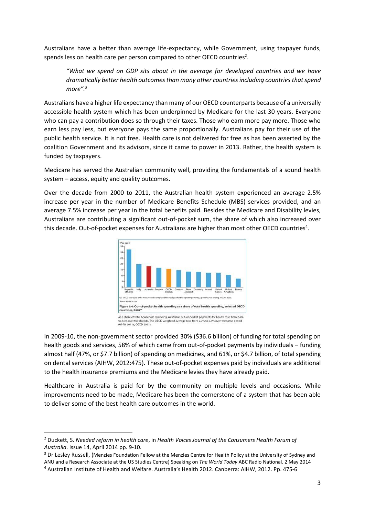Australians have a better than average life-expectancy, while Government, using taxpayer funds, spends less on health care per person compared to other OECD countries<sup>2</sup>.

*"What we spend on GDP sits about in the average for developed countries and we have dramatically better health outcomesthan many other countries including countries that spend more".<sup>3</sup>*

Australians have a higher life expectancy than many of our OECD counterparts because of a universally accessible health system which has been underpinned by Medicare for the last 30 years. Everyone who can pay a contribution does so through their taxes. Those who earn more pay more. Those who earn less pay less, but everyone pays the same proportionally. Australians pay for their use of the public health service. It is not free. Health care is not delivered for free as has been asserted by the coalition Government and its advisors, since it came to power in 2013. Rather, the health system is funded by taxpayers.

Medicare has served the Australian community well, providing the fundamentals of a sound health system – access, equity and quality outcomes.

Over the decade from 2000 to 2011, the Australian health system experienced an average 2.5% increase per year in the number of Medicare Benefits Schedule (MBS) services provided, and an average 7.5% increase per year in the total benefits paid. Besides the Medicare and Disability levies, Australians are contributing a significant out-of-pocket sum, the share of which also increased over this decade. Out-of-pocket expenses for Australians are higher than most other OECD countries<sup>4</sup>.



In 2009-10, the non-government sector provided 30% (\$36.6 billion) of funding for total spending on health goods and services, 58% of which came from out-of-pocket payments by individuals – funding almost half (47%, or \$7.7 billion) of spending on medicines, and 61%, or \$4.7 billion, of total spending on dental services (AIHW, 2012:475). These out-of-pocket expenses paid by individuals are additional to the health insurance premiums and the Medicare levies they have already paid.

Healthcare in Australia is paid for by the community on multiple levels and occasions. While improvements need to be made, Medicare has been the cornerstone of a system that has been able to deliver some of the best health care outcomes in the world.

**.** 

<sup>2</sup> Duckett, S. *Needed reform in health care*, in *Health Voices Journal of the Consumers Health Forum of Australia*. Issue 14, April 2014 pp. 9-10.

<sup>&</sup>lt;sup>3</sup> Dr Lesley Russell, (Menzies Foundation Fellow at the Menzies Centre for Health Policy at the University of Sydney and ANU and a Research Associate at the US Studies Centre) Speaking on *The World Today* ABC Radio National. 2 May 2014

<sup>4</sup> Australian Institute of Health and Welfare. Australia's Health 2012. Canberra: AIHW, 2012. Pp. 475-6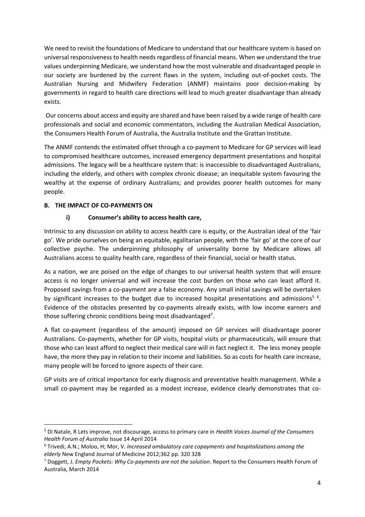We need to revisit the foundations of Medicare to understand that our healthcare system is based on universal responsiveness to health needs regardless of financial means. When we understand the true values underpinning Medicare, we understand how the most vulnerable and disadvantaged people in our society are burdened by the current flaws in the system, including out-of-pocket costs. The Australian Nursing and Midwifery Federation (ANMF) maintains poor decision-making by governments in regard to health care directions will lead to much greater disadvantage than already exists.

Our concerns about access and equity are shared and have been raised by a wide range of health care professionals and social and economic commentators, including the Australian Medical Association, the Consumers Health Forum of Australia, the Australia Institute and the Grattan Institute.

The ANMF contends the estimated offset through a co-payment to Medicare for GP services will lead to compromised healthcare outcomes, increased emergency department presentations and hospital admissions. The legacy will be a healthcare system that: is inaccessible to disadvantaged Australians, including the elderly, and others with complex chronic disease; an inequitable system favouring the wealthy at the expense of ordinary Australians; and provides poorer health outcomes for many people.

## **B. THE IMPACT OF CO-PAYMENTS ON**

**.** 

# **i) Consumer's ability to access health care,**

Intrinsic to any discussion on ability to access health care is equity, or the Australian ideal of the 'fair go'. We pride ourselves on being an equitable, egalitarian people, with the 'fair go' at the core of our collective psyche. The underpinning philosophy of universality borne by Medicare allows all Australians access to quality health care, regardless of their financial, social or health status.

As a nation, we are poised on the edge of changes to our universal health system that will ensure access is no longer universal and will increase the cost burden on those who can least afford it. Proposed savings from a co-payment are a false economy. Any small initial savings will be overtaken by significant increases to the budget due to increased hospital presentations and admissions<sup>56</sup>. Evidence of the obstacles presented by co-payments already exists, with low income earners and those suffering chronic conditions being most disadvantaged<sup>7</sup>.

A flat co-payment (regardless of the amount) imposed on GP services will disadvantage poorer Australians. Co-payments, whether for GP visits, hospital visits or pharmaceuticals, will ensure that those who can least afford to neglect their medical care will in fact neglect it. The less money people have, the more they pay in relation to their income and liabilities. So as costs for health care increase, many people will be forced to ignore aspects of their care.

GP visits are of critical importance for early diagnosis and preventative health management. While a small co-payment may be regarded as a modest increase, evidence clearly demonstrates that co-

<sup>5</sup> Di Natale, R Lets improve, not discourage, access to primary care in *Health Voices Journal of the Consumers Health Forum of Australia* Issue 14 April 2014

<sup>6</sup> Trivedi, A.N.; Moloo, H; Mor, V. *Increased ambulatory care copayments and hospitalizations among the elderly* New England Journal of Medicine 2012;362 pp. 320 328

<sup>7</sup> Doggett, J. *Empty Pockets: Why Co-payments are not the solution*. Report to the Consumers Health Forum of Australia, March 2014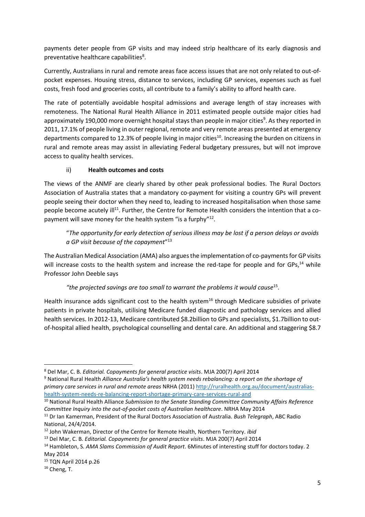payments deter people from GP visits and may indeed strip healthcare of its early diagnosis and preventative healthcare capabilities<sup>8</sup>.

Currently, Australians in rural and remote areas face access issues that are not only related to out-ofpocket expenses. Housing stress, distance to services, including GP services, expenses such as fuel costs, fresh food and groceries costs, all contribute to a family's ability to afford health care.

The rate of potentially avoidable hospital admissions and average length of stay increases with remoteness. The National Rural Health Alliance in 2011 estimated people outside major cities had approximately 190,000 more overnight hospital stays than people in major cities<sup>9</sup>. As they reported in 2011, 17.1% of people living in outer regional, remote and very remote areas presented at emergency departments compared to 12.3% of people living in major cities<sup>10</sup>. Increasing the burden on citizens in rural and remote areas may assist in alleviating Federal budgetary pressures, but will not improve access to quality health services.

# ii) **Health outcomes and costs**

The views of the ANMF are clearly shared by other peak professional bodies. The Rural Doctors Association of Australia states that a mandatory co-payment for visiting a country GPs will prevent people seeing their doctor when they need to, leading to increased hospitalisation when those same people become acutely ill<sup>11</sup>. Further, the Centre for Remote Health considers the intention that a copayment will save money for the health system "is a furphy"<sup>12</sup>.

"*The opportunity for early detection of serious illness may be lost if a person delays or avoids a GP visit because of the copayment*" 13

The Australian Medical Association (AMA) also arguesthe implementation of co-paymentsfor GP visits will increase costs to the health system and increase the red-tape for people and for GPs,<sup>14</sup> while Professor John Deeble says

# *"the projected savings are too small to warrant the problems it would cause*<sup>15</sup> .

Health insurance adds significant cost to the health system<sup>16</sup> through Medicare subsidies of private patients in private hospitals, utilising Medicare funded diagnostic and pathology services and allied health services. In 2012-13, Medicare contributed \$8.2billion to GPs and specialists, \$1.7billion to outof-hospital allied health, psychological counselling and dental care. An additional and staggering \$8.7

<sup>10</sup> National Rural Health Alliance *Submission to the Senate Standing Committee Community Affairs Reference Committee Inquiry into the out-of-pocket costs of Australian healthcare*. NRHA May 2014

 $\overline{\phantom{a}}$ 

<sup>8</sup> Del Mar, C. B. *Editorial. Copayments for general practice visits*. MJA 200(7) April 2014

<sup>9</sup> National Rural Health *Alliance Australia's health system needs rebalancing: a report on the shortage of primary care services in rural and remote areas* NRHA (2011) [http://ruralhealth.org.au/document/australias](http://ruralhealth.org.au/document/australias-health-system-needs-re-balancing-report-shortage-primary-care-services-rural-and)[health-system-needs-re-balancing-report-shortage-primary-care-services-rural-and](http://ruralhealth.org.au/document/australias-health-system-needs-re-balancing-report-shortage-primary-care-services-rural-and)

<sup>11</sup> Dr Ian Kamerman, President of the Rural Doctors Association of Australia. *Bush Telegraph*, ABC Radio National, 24/4/2014.

<sup>12</sup> John Wakerman, Director of the Centre for Remote Health, Northern Territory. *ibid*

<sup>13</sup> Del Mar, C. B. *Editorial. Copayments for general practice visits*. MJA 200(7) April 2014

<sup>14</sup> Hambleton, S*. AMA Slams Commission of Audit Report*. 6Minutes of interesting stuff for doctors today. 2 May 2014

<sup>15</sup> TQN April 2014 p.26

 $16$  Cheng, T.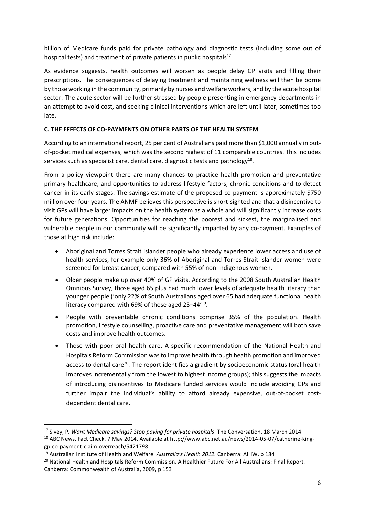billion of Medicare funds paid for private pathology and diagnostic tests (including some out of hospital tests) and treatment of private patients in public hospitals<sup>17</sup>.

As evidence suggests, health outcomes will worsen as people delay GP visits and filling their prescriptions. The consequences of delaying treatment and maintaining wellness will then be borne by those working in the community, primarily by nurses and welfare workers, and by the acute hospital sector. The acute sector will be further stressed by people presenting in emergency departments in an attempt to avoid cost, and seeking clinical interventions which are left until later, sometimes too late.

# **C. THE EFFECTS OF CO-PAYMENTS ON OTHER PARTS OF THE HEALTH SYSTEM**

According to an international report, 25 per cent of Australians paid more than \$1,000 annually in outof-pocket medical expenses, which was the second highest of 11 comparable countries. This includes services such as specialist care, dental care, diagnostic tests and pathology<sup>18</sup>.

From a policy viewpoint there are many chances to practice health promotion and preventative primary healthcare, and opportunities to address lifestyle factors, chronic conditions and to detect cancer in its early stages. The savings estimate of the proposed co-payment is approximately \$750 million over four years. The ANMF believes this perspective is short-sighted and that a disincentive to visit GPs will have larger impacts on the health system as a whole and will significantly increase costs for future generations. Opportunities for reaching the poorest and sickest, the marginalised and vulnerable people in our community will be significantly impacted by any co-payment. Examples of those at high risk include:

- Aboriginal and Torres Strait Islander people who already experience lower access and use of health services, for example only 36% of Aboriginal and Torres Strait Islander women were screened for breast cancer, compared with 55% of non-Indigenous women.
- Older people make up over 40% of GP visits. According to the 2008 South Australian Health Omnibus Survey, those aged 65 plus had much lower levels of adequate health literacy than younger people ('only 22% of South Australians aged over 65 had adequate functional health literacy compared with 69% of those aged 25-44'<sup>19</sup>.
- People with preventable chronic conditions comprise 35% of the population. Health promotion, lifestyle counselling, proactive care and preventative management will both save costs and improve health outcomes.
- Those with poor oral health care. A specific recommendation of the National Health and Hospitals Reform Commission was to improve health through health promotion and improved access to dental care<sup>20</sup>. The report identifies a gradient by socioeconomic status (oral health improves incrementally from the lowest to highest income groups); this suggests the impacts of introducing disincentives to Medicare funded services would include avoiding GPs and further impair the individual's ability to afford already expensive, out-of-pocket costdependent dental care.

**.** 

<sup>&</sup>lt;sup>17</sup> Sivey, P. Want Medicare savings? Stop paying for private hospitals. The Conversation, 18 March 2014

<sup>&</sup>lt;sup>18</sup> ABC News. Fact Check. 7 May 2014. Available at http://www.abc.net.au/news/2014-05-07/catherine-kinggp-co-payment-claim-overreach/5421798

<sup>19</sup> Australian Institute of Health and Welfare. *Australia's Health 2012.* Canberra: AIHW, p 184

<sup>&</sup>lt;sup>20</sup> National Health and Hospitals Reform Commission. A Healthier Future For All Australians: Final Report. Canberra: Commonwealth of Australia, 2009, p 153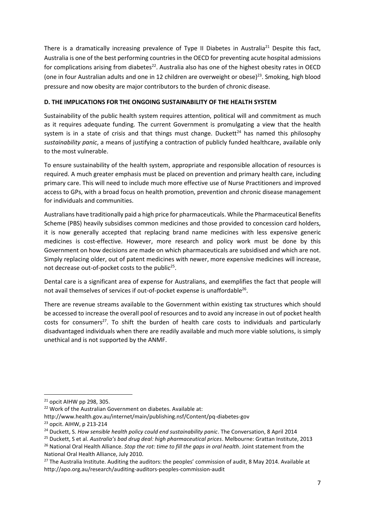There is a dramatically increasing prevalence of Type II Diabetes in Australia<sup>21</sup> Despite this fact, Australia is one of the best performing countries in the OECD for preventing acute hospital admissions for complications arising from diabetes<sup>22</sup>. Australia also has one of the highest obesity rates in OECD (one in four Australian adults and one in 12 children are overweight or obese)<sup>23</sup>. Smoking, high blood pressure and now obesity are major contributors to the burden of chronic disease.

# **D. THE IMPLICATIONS FOR THE ONGOING SUSTAINABILITY OF THE HEALTH SYSTEM**

Sustainability of the public health system requires attention, political will and commitment as much as it requires adequate funding. The current Government is promulgating a view that the health system is in a state of crisis and that things must change. Duckett<sup>24</sup> has named this philosophy *sustainability panic*, a means of justifying a contraction of publicly funded healthcare, available only to the most vulnerable.

To ensure sustainability of the health system, appropriate and responsible allocation of resources is required. A much greater emphasis must be placed on prevention and primary health care, including primary care. This will need to include much more effective use of Nurse Practitioners and improved access to GPs, with a broad focus on health promotion, prevention and chronic disease management for individuals and communities.

Australians have traditionally paid a high price for pharmaceuticals. While the Pharmaceutical Benefits Scheme (PBS) heavily subsidises common medicines and those provided to concession card holders, it is now generally accepted that replacing brand name medicines with less expensive generic medicines is cost-effective. However, more research and policy work must be done by this Government on how decisions are made on which pharmaceuticals are subsidised and which are not. Simply replacing older, out of patent medicines with newer, more expensive medicines will increase, not decrease out-of-pocket costs to the public<sup>25</sup>.

Dental care is a significant area of expense for Australians, and exemplifies the fact that people will not avail themselves of services if out-of-pocket expense is unaffordable<sup>26</sup>.

There are revenue streams available to the Government within existing tax structures which should be accessed to increase the overall pool of resources and to avoid any increase in out of pocket health costs for consumers<sup>27</sup>. To shift the burden of health care costs to individuals and particularly disadvantaged individuals when there are readily available and much more viable solutions, is simply unethical and is not supported by the ANMF.

**.** 

http://www.health.gov.au/internet/main/publishing.nsf/Content/pq-diabetes-gov

 $21$  opcit AIHW pp 298, 305.

<sup>&</sup>lt;sup>22</sup> Work of the Australian Government on diabetes. Available at:

<sup>&</sup>lt;sup>23</sup> opcit. AIHW, p 213-214

<sup>&</sup>lt;sup>24</sup> Duckett, S. How sensible health policy could end sustainability panic. The Conversation, 8 April 2014

<sup>25</sup> Duckett, S et al. *Australia's bad drug deal: high pharmaceutical prices*. Melbourne: Grattan Institute, 2013 <sup>26</sup> National Oral Health Alliance. *Stop the rot: time to fill the gaps in oral health*. Joint statement from the

National Oral Health Alliance, July 2010. <sup>27</sup> The Australia Institute. Auditing the auditors: the peoples' commission of audit, 8 May 2014. Available at http://apo.org.au/research/auditing-auditors-peoples-commission-audit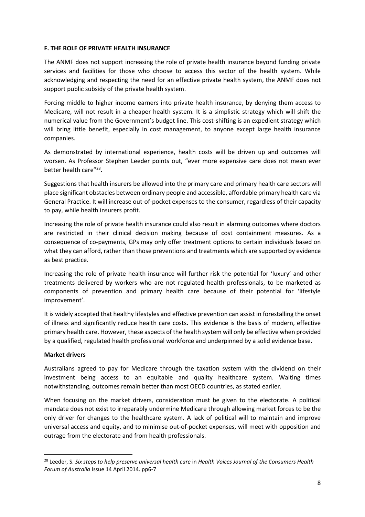## **F. THE ROLE OF PRIVATE HEALTH INSURANCE**

The ANMF does not support increasing the role of private health insurance beyond funding private services and facilities for those who choose to access this sector of the health system. While acknowledging and respecting the need for an effective private health system, the ANMF does not support public subsidy of the private health system.

Forcing middle to higher income earners into private health insurance, by denying them access to Medicare, will not result in a cheaper health system. It is a simplistic strategy which will shift the numerical value from the Government's budget line. This cost-shifting is an expedient strategy which will bring little benefit, especially in cost management, to anyone except large health insurance companies.

As demonstrated by international experience, health costs will be driven up and outcomes will worsen. As Professor Stephen Leeder points out, "ever more expensive care does not mean ever better health care"<sup>28</sup>.

Suggestions that health insurers be allowed into the primary care and primary health care sectors will place significant obstacles between ordinary people and accessible, affordable primary health care via General Practice. It will increase out-of-pocket expenses to the consumer, regardless of their capacity to pay, while health insurers profit.

Increasing the role of private health insurance could also result in alarming outcomes where doctors are restricted in their clinical decision making because of cost containment measures. As a consequence of co-payments, GPs may only offer treatment options to certain individuals based on what they can afford, rather than those preventions and treatments which are supported by evidence as best practice.

Increasing the role of private health insurance will further risk the potential for 'luxury' and other treatments delivered by workers who are not regulated health professionals, to be marketed as components of prevention and primary health care because of their potential for 'lifestyle improvement'.

It is widely accepted that healthy lifestyles and effective prevention can assist in forestalling the onset of illness and significantly reduce health care costs. This evidence is the basis of modern, effective primary health care. However, these aspects of the health system will only be effective when provided by a qualified, regulated health professional workforce and underpinned by a solid evidence base.

## **Market drivers**

1

Australians agreed to pay for Medicare through the taxation system with the dividend on their investment being access to an equitable and quality healthcare system. Waiting times notwithstanding, outcomes remain better than most OECD countries, as stated earlier.

When focusing on the market drivers, consideration must be given to the electorate. A political mandate does not exist to irreparably undermine Medicare through allowing market forces to be the only driver for changes to the healthcare system. A lack of political will to maintain and improve universal access and equity, and to minimise out-of-pocket expenses, will meet with opposition and outrage from the electorate and from health professionals.

<sup>28</sup> Leeder, S. *Six steps to help preserve universal health care* in *Health Voices Journal of the Consumers Health Forum of Australia* Issue 14 April 2014. pp6-7